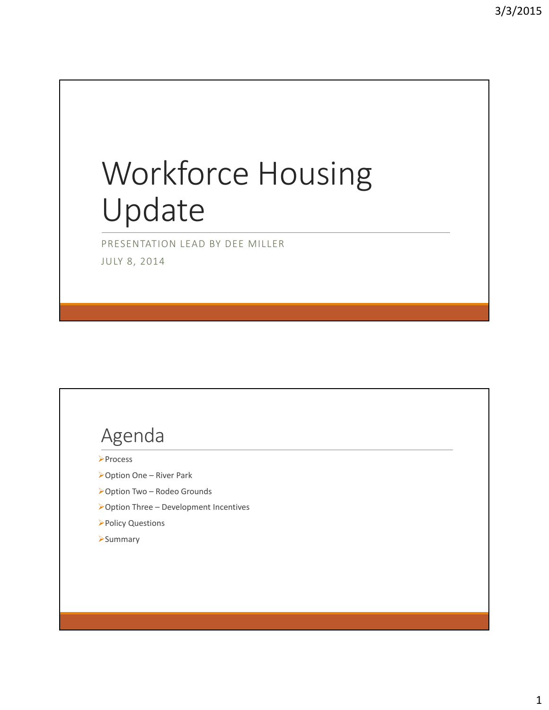# Workforce Housing Update

PRESENTATION LEAD BY DEE MILLER JULY 8, 2014

## Agenda

- **>Process**
- Option One River Park
- Option Two Rodeo Grounds
- $\triangleright$  Option Three Development Incentives
- Policy Questions
- **>Summary**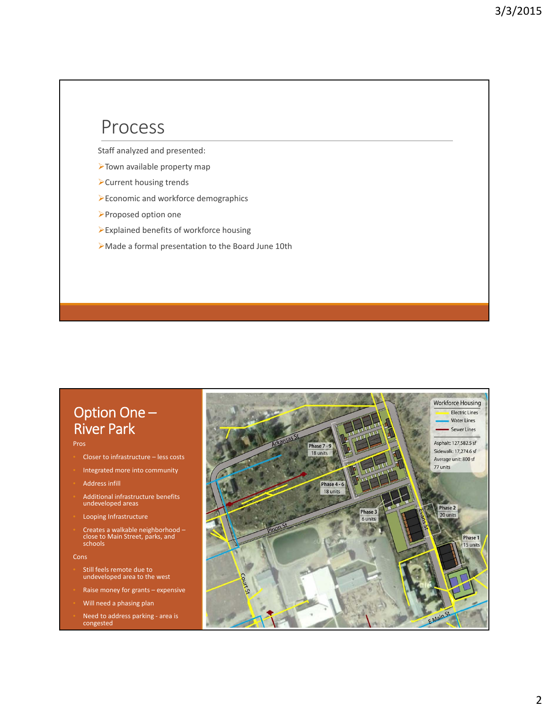#### Process

Staff analyzed and presented:

- Town available property map
- Current housing trends
- Economic and workforce demographics
- Proposed option one
- Explained benefits of workforce housing
- Made a formal presentation to the Board June 10th

#### Option One – River Park

#### Pros

- Closer to infrastructure less costs
- Integrated more into community
- Address infill
- Additional infrastructure benefits undeveloped areas
- Looping Infrastructure
- Creates <sup>a</sup> walkable neighborhood close to Main Street, parks, and schools

Cons

- Still feels remote due to undeveloped area to the west
- Raise money for grants expensive
- Will need a phasing plan
- Need to address parking ‐ area is congested

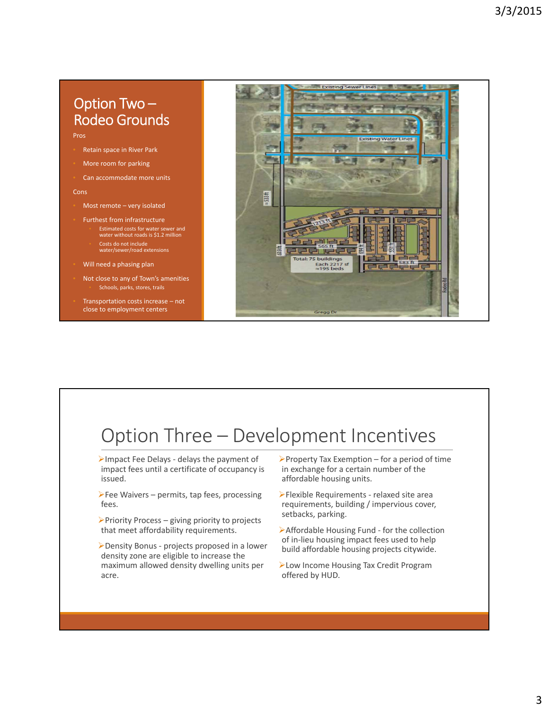#### Option Two – Rodeo Grounds

Pros

- Retain space in River Park
- More room for parking
- Can accommodate more units

Cons

- Most remote very isolated
- Furthest from infrastructure • Estimated costs for water sewer and water without roads is \$1.2 million
- Costs do not include water/sewer/road extensions
- Will need a phasing plan
- Not close to any of Town's amenities Schools, parks, stores, trails
- Transportation costs increase not close to employment centers



## Option Three – Development Incentives

- Impact Fee Delays ‐ delays the payment of impact fees until a certificate of occupancy is issued.
- $\blacktriangleright$  Fee Waivers permits, tap fees, processing fees.
- $\triangleright$  Priority Process giving priority to projects that meet affordability requirements.
- Density Bonus ‐ projects proposed in a lower density zone are eligible to increase the maximum allowed density dwelling units per acre.
- Property Tax Exemption for a period of time in exchange for a certain number of the affordable housing units.
- Flexible Requirements ‐ relaxed site area requirements, building / impervious cover, setbacks, parking.
- ▶ Affordable Housing Fund for the collection of in‐lieu housing impact fees used to help build affordable housing projects citywide.
- Low Income Housing Tax Credit Program offered by HUD.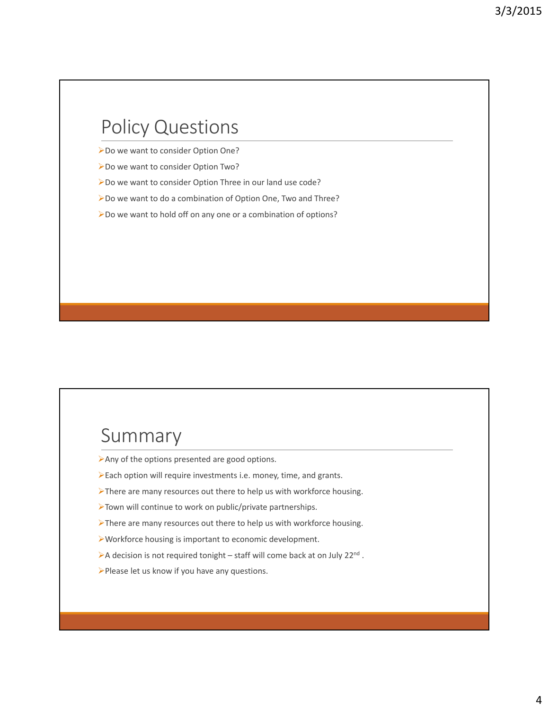### Policy Questions

- ▶Do we want to consider Option One?
- Do we want to consider Option Two?
- Do we want to consider Option Three in our land use code?
- Do we want to do a combination of Option One, Two and Three?
- Do we want to hold off on any one or a combination of options?

#### Summary

- Any of the options presented are good options.
- Each option will require investments i.e. money, time, and grants.
- There are many resources out there to help us with workforce housing.
- Town will continue to work on public/private partnerships.
- There are many resources out there to help us with workforce housing.
- Workforce housing is important to economic development.
- A decision is not required tonight staff will come back at on July 22<sup>nd</sup>.
- Please let us know if you have any questions.